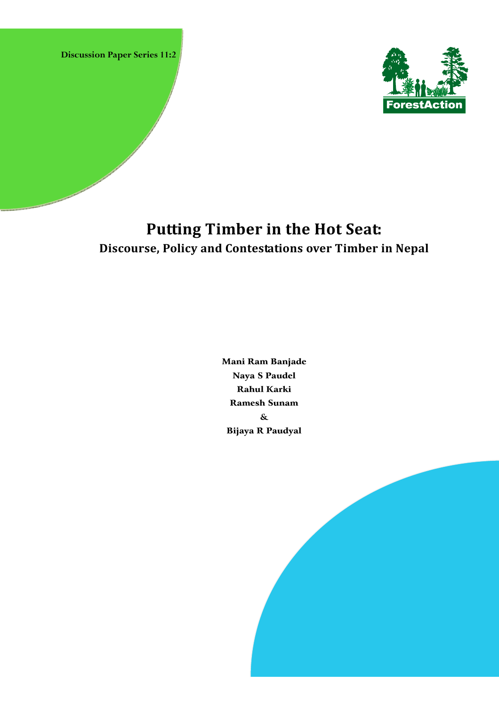**Discussion Paper Series 11:2** 



# **Putting Timber in the Hot Seat: Discourse, Policy and Contestations over Timber in Nepal**

Mani Ram Banjade Naya S Paudel Rahul Karki Ramesh Sunam & Bijaya R Paudyal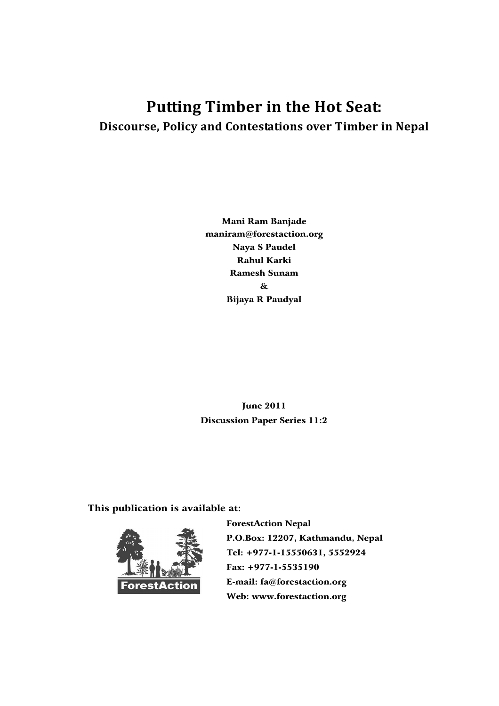# **Putting Timber in the Hot Seat: Discourse, Policy and Contestations over Timber in Nepal**

Mani Ram Banjade maniram@forestaction.org Naya S Paudel Rahul Karki Ramesh Sunam & Bijaya R Paudyal

June 2011 Discussion Paper Series 11:2

This publication is available at:



 ForestAction Nepal P.O.Box: 12207, Kathmandu, Nepal Tel: +977-1-15550631, 5552924 Fax: +977-1-5535190 E-mail: fa@forestaction.org Web: www.forestaction.org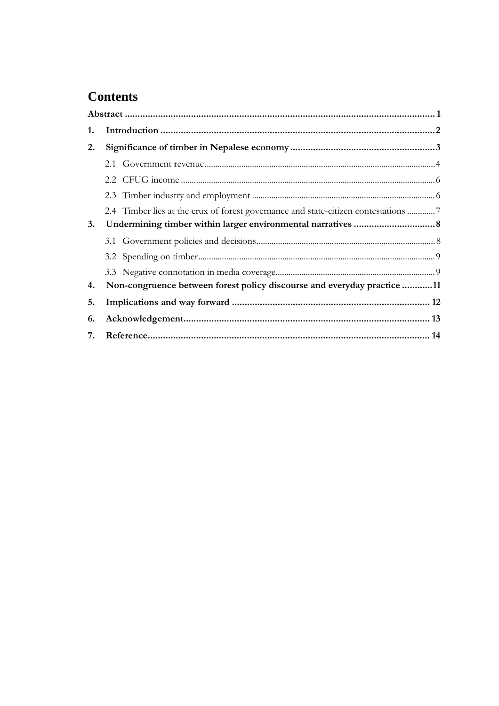## **Contents**

| 1. |                                                                                    |  |  |
|----|------------------------------------------------------------------------------------|--|--|
| 2. |                                                                                    |  |  |
|    |                                                                                    |  |  |
|    |                                                                                    |  |  |
|    |                                                                                    |  |  |
|    | 2.4 Timber lies at the crux of forest governance and state-citizen contestations 7 |  |  |
| 3. |                                                                                    |  |  |
|    |                                                                                    |  |  |
|    |                                                                                    |  |  |
|    |                                                                                    |  |  |
| 4. | Non-congruence between forest policy discourse and everyday practice 11            |  |  |
| 5. |                                                                                    |  |  |
| 6. |                                                                                    |  |  |
| 7. |                                                                                    |  |  |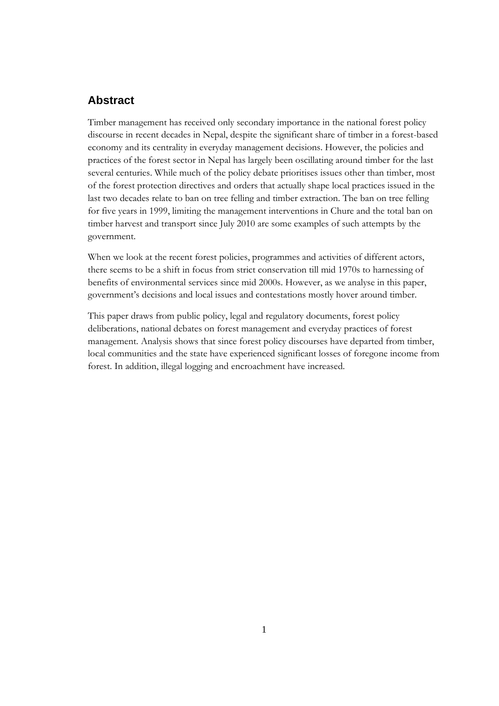### **Abstract**

Timber management has received only secondary importance in the national forest policy discourse in recent decades in Nepal, despite the significant share of timber in a forest-based economy and its centrality in everyday management decisions. However, the policies and practices of the forest sector in Nepal has largely been oscillating around timber for the last several centuries. While much of the policy debate prioritises issues other than timber, most of the forest protection directives and orders that actually shape local practices issued in the last two decades relate to ban on tree felling and timber extraction. The ban on tree felling for five years in 1999, limiting the management interventions in Chure and the total ban on timber harvest and transport since July 2010 are some examples of such attempts by the government.

When we look at the recent forest policies, programmes and activities of different actors, there seems to be a shift in focus from strict conservation till mid 1970s to harnessing of benefits of environmental services since mid 2000s. However, as we analyse in this paper, government's decisions and local issues and contestations mostly hover around timber.

This paper draws from public policy, legal and regulatory documents, forest policy deliberations, national debates on forest management and everyday practices of forest management. Analysis shows that since forest policy discourses have departed from timber, local communities and the state have experienced significant losses of foregone income from forest. In addition, illegal logging and encroachment have increased.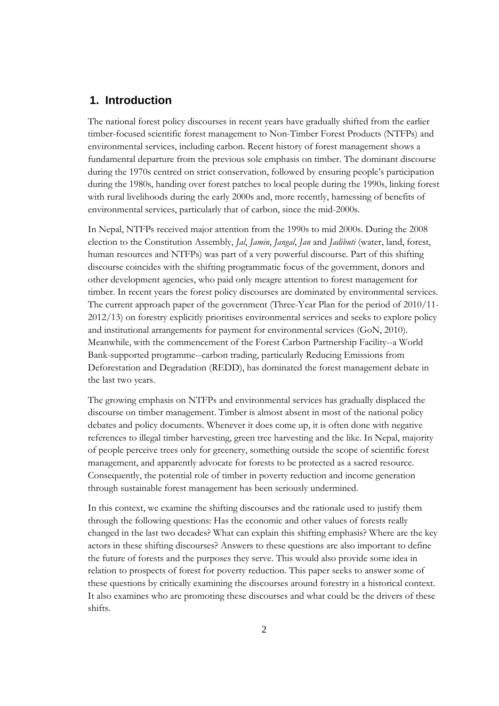### **1. Introduction**

The national forest policy discourses in recent years have gradually shifted from the earlier timber-focused scientific forest management to Non-Timber Forest Products (NTFPs) and environmental services, including carbon. Recent history of forest management shows a fundamental departure from the previous sole emphasis on timber. The dominant discourse during the 1970s centred on strict conservation, followed by ensuring people's participation during the 1980s, handing over forest patches to local people during the 1990s, linking forest with rural livelihoods during the early 2000s and, more recently, harnessing of benefits of environmental services, particularly that of carbon, since the mid-2000s.

In Nepal, NTFPs received major attention from the 1990s to mid 2000s. During the 2008 election to the Constitution Assembly, *Jal*, *Jamin*, *Jangal*, *Jan* and *Jadibuti* (water, land, forest, human resources and NTFPs) was part of a very powerful discourse. Part of this shifting discourse coincides with the shifting programmatic focus of the government, donors and other development agencies, who paid only meagre attention to forest management for timber. In recent years the forest policy discourses are dominated by environmental services. The current approach paper of the government (Three-Year Plan for the period of 2010/11- 2012/13) on forestry explicitly prioritises environmental services and seeks to explore policy and institutional arrangements for payment for environmental services (GoN, 2010). Meanwhile, with the commencement of the Forest Carbon Partnership Facility--a World Bank-supported programme--carbon trading, particularly Reducing Emissions from Deforestation and Degradation (REDD), has dominated the forest management debate in the last two years.

The growing emphasis on NTFPs and environmental services has gradually displaced the discourse on timber management. Timber is almost absent in most of the national policy debates and policy documents. Whenever it does come up, it is often done with negative references to illegal timber harvesting, green tree harvesting and the like. In Nepal, majority of people perceive trees only for greenery, something outside the scope of scientific forest management, and apparently advocate for forests to be protected as a sacred resource. Consequently, the potential role of timber in poverty reduction and income generation through sustainable forest management has been seriously undermined.

In this context, we examine the shifting discourses and the rationale used to justify them through the following questions: Has the economic and other values of forests really changed in the last two decades? What can explain this shifting emphasis? Where are the key actors in these shifting discourses? Answers to these questions are also important to define the future of forests and the purposes they serve. This would also provide some idea in relation to prospects of forest for poverty reduction. This paper seeks to answer some of these questions by critically examining the discourses around forestry in a historical context. It also examines who are promoting these discourses and what could be the drivers of these shifts.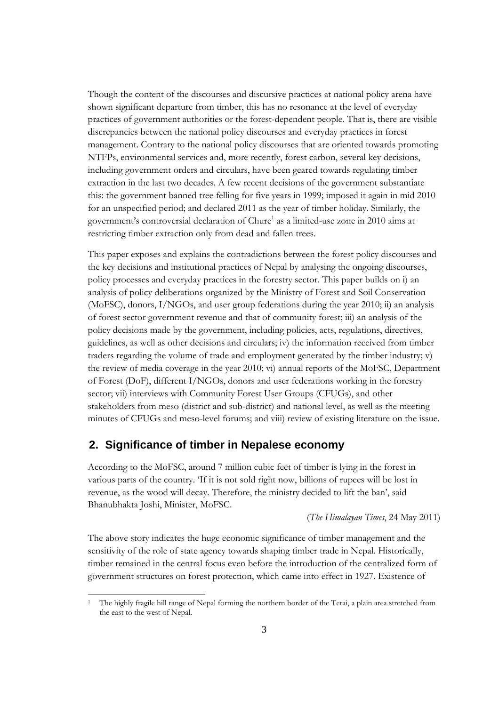Though the content of the discourses and discursive practices at national policy arena have shown significant departure from timber, this has no resonance at the level of everyday practices of government authorities or the forest-dependent people. That is, there are visible discrepancies between the national policy discourses and everyday practices in forest management. Contrary to the national policy discourses that are oriented towards promoting NTFPs, environmental services and, more recently, forest carbon, several key decisions, including government orders and circulars, have been geared towards regulating timber extraction in the last two decades. A few recent decisions of the government substantiate this: the government banned tree felling for five years in 1999; imposed it again in mid 2010 for an unspecified period; and declared 2011 as the year of timber holiday. Similarly, the government's controversial declaration of Chure<sup>1</sup> as a limited-use zone in 2010 aims at restricting timber extraction only from dead and fallen trees.

This paper exposes and explains the contradictions between the forest policy discourses and the key decisions and institutional practices of Nepal by analysing the ongoing discourses, policy processes and everyday practices in the forestry sector. This paper builds on i) an analysis of policy deliberations organized by the Ministry of Forest and Soil Conservation (MoFSC), donors, I/NGOs, and user group federations during the year 2010; ii) an analysis of forest sector government revenue and that of community forest; iii) an analysis of the policy decisions made by the government, including policies, acts, regulations, directives, guidelines, as well as other decisions and circulars; iv) the information received from timber traders regarding the volume of trade and employment generated by the timber industry; v) the review of media coverage in the year 2010; vi) annual reports of the MoFSC, Department of Forest (DoF), different I/NGOs, donors and user federations working in the forestry sector; vii) interviews with Community Forest User Groups (CFUGs), and other stakeholders from meso (district and sub-district) and national level, as well as the meeting minutes of CFUGs and meso-level forums; and viii) review of existing literature on the issue.

### **2. Significance of timber in Nepalese economy**

According to the MoFSC, around 7 million cubic feet of timber is lying in the forest in various parts of the country. 'If it is not sold right now, billions of rupees will be lost in revenue, as the wood will decay. Therefore, the ministry decided to lift the ban', said Bhanubhakta Joshi, Minister, MoFSC.

(*The Himalayan Times*, 24 May 2011)

The above story indicates the huge economic significance of timber management and the sensitivity of the role of state agency towards shaping timber trade in Nepal. Historically, timber remained in the central focus even before the introduction of the centralized form of government structures on forest protection, which came into effect in 1927. Existence of

<sup>1</sup> The highly fragile hill range of Nepal forming the northern border of the Terai, a plain area stretched from the east to the west of Nepal.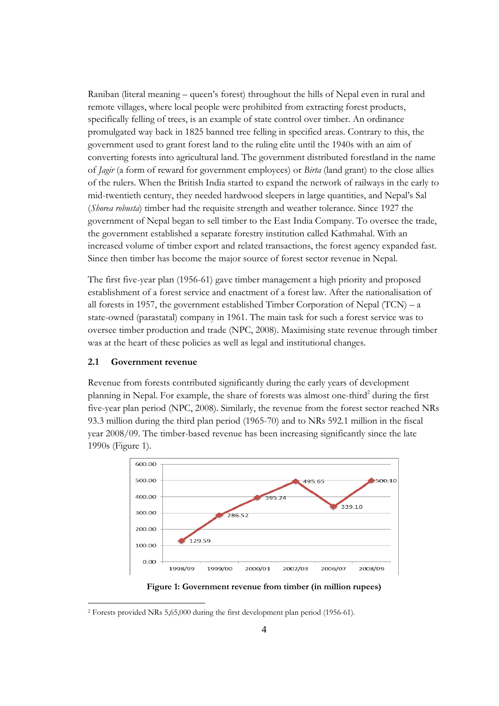Raniban (literal meaning – queen's forest) throughout the hills of Nepal even in rural and remote villages, where local people were prohibited from extracting forest products, specifically felling of trees, is an example of state control over timber. An ordinance promulgated way back in 1825 banned tree felling in specified areas. Contrary to this, the government used to grant forest land to the ruling elite until the 1940s with an aim of converting forests into agricultural land. The government distributed forestland in the name of *Jagir* (a form of reward for government employees) or *Birta* (land grant) to the close allies of the rulers. When the British India started to expand the network of railways in the early to mid-twentieth century, they needed hardwood sleepers in large quantities, and Nepal's Sal (*Shorea robusta*) timber had the requisite strength and weather tolerance. Since 1927 the government of Nepal began to sell timber to the East India Company. To oversee the trade, the government established a separate forestry institution called Kathmahal. With an increased volume of timber export and related transactions, the forest agency expanded fast. Since then timber has become the major source of forest sector revenue in Nepal.

The first five-year plan (1956-61) gave timber management a high priority and proposed establishment of a forest service and enactment of a forest law. After the nationalisation of all forests in 1957, the government established Timber Corporation of Nepal  $(TCN) - a$ state-owned (parastatal) company in 1961. The main task for such a forest service was to oversee timber production and trade (NPC, 2008). Maximising state revenue through timber was at the heart of these policies as well as legal and institutional changes.

#### **2.1 Government revenue**

Revenue from forests contributed significantly during the early years of development planning in Nepal. For example, the share of forests was almost one-third<sup>2</sup> during the first five-year plan period (NPC, 2008). Similarly, the revenue from the forest sector reached NRs 93.3 million during the third plan period (1965-70) and to NRs 592.1 million in the fiscal year 2008/09. The timber-based revenue has been increasing significantly since the late 1990s (Figure 1).



**Figure 1: Government revenue from timber (in million rupees)** 

<sup>2</sup> Forests provided NRs 5,65,000 during the first development plan period (1956-61).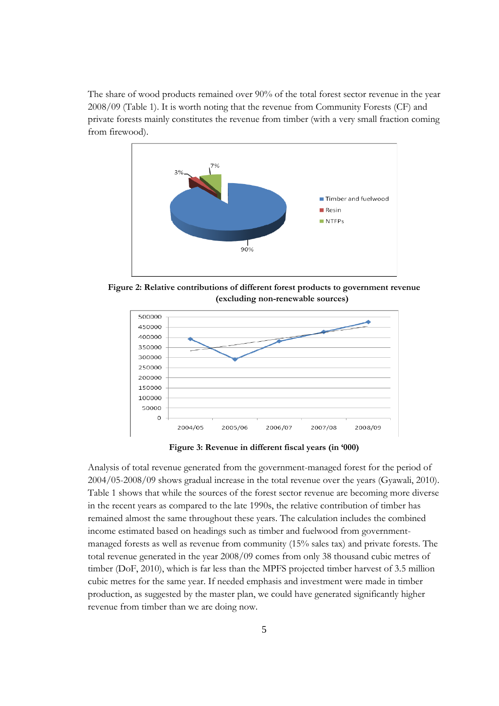The share of wood products remained over 90% of the total forest sector revenue in the year 2008/09 (Table 1). It is worth noting that the revenue from Community Forests (CF) and private forests mainly constitutes the revenue from timber (with a very small fraction coming from firewood).



**Figure 2: Relative contributions of different forest products to government revenue (excluding non-renewable sources)** 



**Figure 3: Revenue in different fiscal years (in '000)** 

Analysis of total revenue generated from the government-managed forest for the period of 2004/05-2008/09 shows gradual increase in the total revenue over the years (Gyawali, 2010). Table 1 shows that while the sources of the forest sector revenue are becoming more diverse in the recent years as compared to the late 1990s, the relative contribution of timber has remained almost the same throughout these years. The calculation includes the combined income estimated based on headings such as timber and fuelwood from governmentmanaged forests as well as revenue from community (15% sales tax) and private forests. The total revenue generated in the year 2008/09 comes from only 38 thousand cubic metres of timber (DoF, 2010), which is far less than the MPFS projected timber harvest of 3.5 million cubic metres for the same year. If needed emphasis and investment were made in timber production, as suggested by the master plan, we could have generated significantly higher revenue from timber than we are doing now.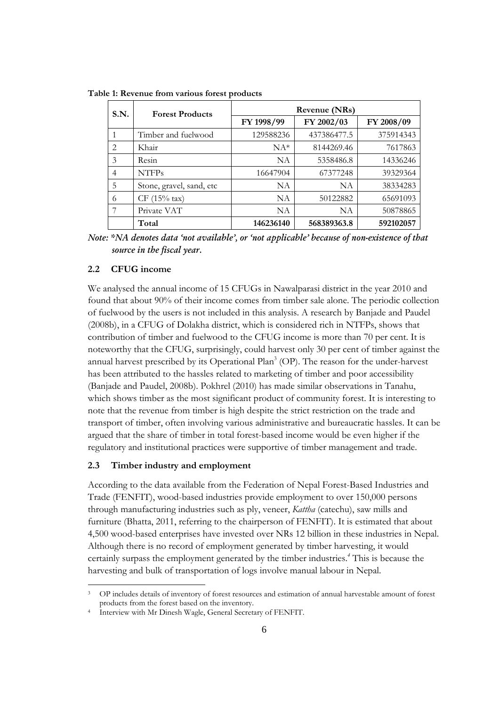| S.N. | <b>Forest Products</b>   | Revenue (NRs) |             |            |
|------|--------------------------|---------------|-------------|------------|
|      |                          | FY 1998/99    | FY 2002/03  | FY 2008/09 |
| 1    | Timber and fuelwood      | 129588236     | 437386477.5 | 375914343  |
| 2    | Khair                    | $NA*$         | 8144269.46  | 7617863    |
| 3    | Resin                    | NA            | 5358486.8   | 14336246   |
| 4    | <b>NTFPs</b>             | 16647904      | 67377248    | 39329364   |
| 5    | Stone, gravel, sand, etc | NA            | <b>NA</b>   | 38334283   |
| 6    | $CF (15% \text{ tax})$   | NA            | 50122882    | 65691093   |
| 7    | Private VAT              | NA            | NA          | 50878865   |
|      | Total                    | 146236140     | 568389363.8 | 592102057  |

**Table 1: Revenue from various forest products** 

*Note: \*NA denotes data 'not available', or 'not applicable' because of non-existence of that source in the fiscal year.* 

#### **2.2 CFUG income**

We analysed the annual income of 15 CFUGs in Nawalparasi district in the year 2010 and found that about 90% of their income comes from timber sale alone. The periodic collection of fuelwood by the users is not included in this analysis. A research by Banjade and Paudel (2008b), in a CFUG of Dolakha district, which is considered rich in NTFPs, shows that contribution of timber and fuelwood to the CFUG income is more than 70 per cent. It is noteworthy that the CFUG, surprisingly, could harvest only 30 per cent of timber against the annual harvest prescribed by its Operational Plan<sup>3</sup> (OP). The reason for the under-harvest has been attributed to the hassles related to marketing of timber and poor accessibility (Banjade and Paudel, 2008b). Pokhrel (2010) has made similar observations in Tanahu, which shows timber as the most significant product of community forest. It is interesting to note that the revenue from timber is high despite the strict restriction on the trade and transport of timber, often involving various administrative and bureaucratic hassles. It can be argued that the share of timber in total forest-based income would be even higher if the regulatory and institutional practices were supportive of timber management and trade.

#### **2.3 Timber industry and employment**

According to the data available from the Federation of Nepal Forest-Based Industries and Trade (FENFIT), wood-based industries provide employment to over 150,000 persons through manufacturing industries such as ply, veneer, *Kattha* (catechu), saw mills and furniture (Bhatta, 2011, referring to the chairperson of FENFIT). It is estimated that about 4,500 wood-based enterprises have invested over NRs 12 billion in these industries in Nepal. Although there is no record of employment generated by timber harvesting, it would certainly surpass the employment generated by the timber industries.*<sup>4</sup>* This is because the harvesting and bulk of transportation of logs involve manual labour in Nepal.

<sup>3</sup> OP includes details of inventory of forest resources and estimation of annual harvestable amount of forest products from the forest based on the inventory.<br>4 Interview with Mr Dinesh Wagle, General Secretary of FENFIT.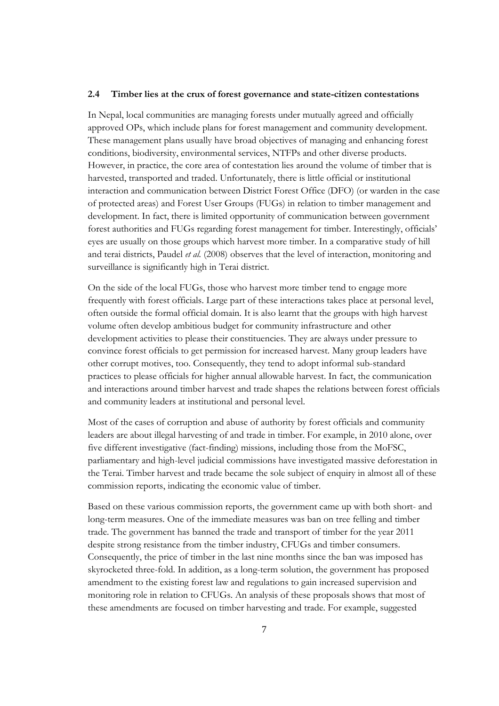#### **2.4 Timber lies at the crux of forest governance and state-citizen contestations**

In Nepal, local communities are managing forests under mutually agreed and officially approved OPs, which include plans for forest management and community development. These management plans usually have broad objectives of managing and enhancing forest conditions, biodiversity, environmental services, NTFPs and other diverse products. However, in practice, the core area of contestation lies around the volume of timber that is harvested, transported and traded. Unfortunately, there is little official or institutional interaction and communication between District Forest Office (DFO) (or warden in the case of protected areas) and Forest User Groups (FUGs) in relation to timber management and development. In fact, there is limited opportunity of communication between government forest authorities and FUGs regarding forest management for timber. Interestingly, officials' eyes are usually on those groups which harvest more timber. In a comparative study of hill and terai districts, Paudel *et al.* (2008) observes that the level of interaction, monitoring and surveillance is significantly high in Terai district.

On the side of the local FUGs, those who harvest more timber tend to engage more frequently with forest officials. Large part of these interactions takes place at personal level, often outside the formal official domain. It is also learnt that the groups with high harvest volume often develop ambitious budget for community infrastructure and other development activities to please their constituencies. They are always under pressure to convince forest officials to get permission for increased harvest. Many group leaders have other corrupt motives, too. Consequently, they tend to adopt informal sub-standard practices to please officials for higher annual allowable harvest. In fact, the communication and interactions around timber harvest and trade shapes the relations between forest officials and community leaders at institutional and personal level.

Most of the cases of corruption and abuse of authority by forest officials and community leaders are about illegal harvesting of and trade in timber. For example, in 2010 alone, over five different investigative (fact-finding) missions, including those from the MoFSC, parliamentary and high-level judicial commissions have investigated massive deforestation in the Terai. Timber harvest and trade became the sole subject of enquiry in almost all of these commission reports, indicating the economic value of timber.

Based on these various commission reports, the government came up with both short- and long-term measures. One of the immediate measures was ban on tree felling and timber trade. The government has banned the trade and transport of timber for the year 2011 despite strong resistance from the timber industry, CFUGs and timber consumers. Consequently, the price of timber in the last nine months since the ban was imposed has skyrocketed three-fold. In addition, as a long-term solution, the government has proposed amendment to the existing forest law and regulations to gain increased supervision and monitoring role in relation to CFUGs. An analysis of these proposals shows that most of these amendments are focused on timber harvesting and trade. For example, suggested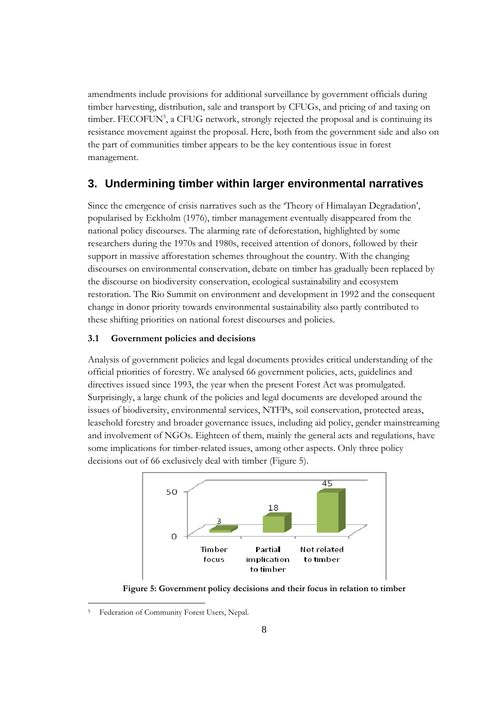amendments include provisions for additional surveillance by government officials during timber harvesting, distribution, sale and transport by CFUGs, and pricing of and taxing on timber. FECOFUN<sup>5</sup>, a CFUG network, strongly rejected the proposal and is continuing its resistance movement against the proposal. Here, both from the government side and also on the part of communities timber appears to be the key contentious issue in forest management.

### **3. Undermining timber within larger environmental narratives**

Since the emergence of crisis narratives such as the 'Theory of Himalayan Degradation', popularised by Eckholm (1976), timber management eventually disappeared from the national policy discourses. The alarming rate of deforestation, highlighted by some researchers during the 1970s and 1980s, received attention of donors, followed by their support in massive afforestation schemes throughout the country. With the changing discourses on environmental conservation, debate on timber has gradually been replaced by the discourse on biodiversity conservation, ecological sustainability and ecosystem restoration. The Rio Summit on environment and development in 1992 and the consequent change in donor priority towards environmental sustainability also partly contributed to these shifting priorities on national forest discourses and policies.

#### **3.1 Government policies and decisions**

Analysis of government policies and legal documents provides critical understanding of the official priorities of forestry. We analysed 66 government policies, acts, guidelines and directives issued since 1993, the year when the present Forest Act was promulgated. Surprisingly, a large chunk of the policies and legal documents are developed around the issues of biodiversity, environmental services, NTFPs, soil conservation, protected areas, leasehold forestry and broader governance issues, including aid policy, gender mainstreaming and involvement of NGOs. Eighteen of them, mainly the general acts and regulations, have some implications for timber-related issues, among other aspects. Only three policy decisions out of 66 exclusively deal with timber (Figure 5).



**Figure 5: Government policy decisions and their focus in relation to timber**

<sup>5</sup> Federation of Community Forest Users, Nepal.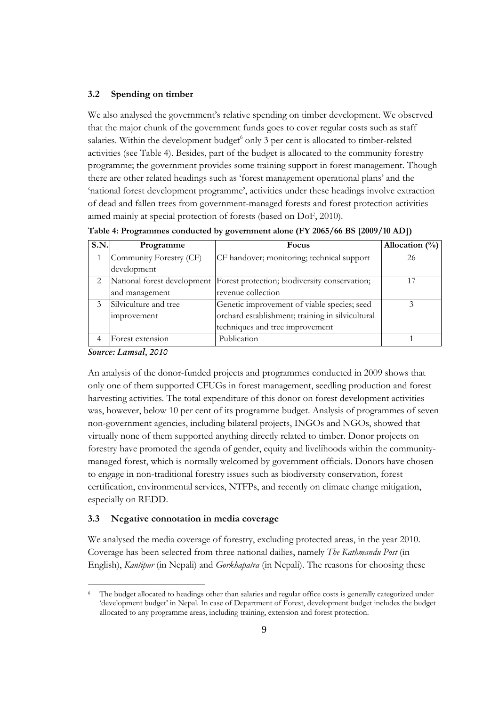#### **3.2 Spending on timber**

We also analysed the government's relative spending on timber development. We observed that the major chunk of the government funds goes to cover regular costs such as staff salaries. Within the development budget<sup>6</sup> only 3 per cent is allocated to timber-related activities (see Table 4). Besides, part of the budget is allocated to the community forestry programme; the government provides some training support in forest management. Though there are other related headings such as 'forest management operational plans' and the 'national forest development programme', activities under these headings involve extraction of dead and fallen trees from government-managed forests and forest protection activities aimed mainly at special protection of forests (based on DoF, 2010).

**Table 4: Programmes conducted by government alone (FY 2065/66 BS [2009/10 AD])** 

| S.N. | Programme                   | Focus                                            | Allocation $(\% )$ |
|------|-----------------------------|--------------------------------------------------|--------------------|
|      | Community Forestry (CF)     | CF handover; monitoring; technical support       | 26                 |
|      | development                 |                                                  |                    |
|      | National forest development | Forest protection; biodiversity conservation;    | 17                 |
|      | and management              | revenue collection                               |                    |
| 3    | Silviculture and tree       | Genetic improvement of viable species; seed      |                    |
|      | improvement                 | orchard establishment; training in silvicultural |                    |
|      |                             | techniques and tree improvement                  |                    |
|      | Forest extension            | Publication                                      |                    |

*Source: Lamsal, 2010*

An analysis of the donor-funded projects and programmes conducted in 2009 shows that only one of them supported CFUGs in forest management, seedling production and forest harvesting activities. The total expenditure of this donor on forest development activities was, however, below 10 per cent of its programme budget. Analysis of programmes of seven non-government agencies, including bilateral projects, INGOs and NGOs, showed that virtually none of them supported anything directly related to timber. Donor projects on forestry have promoted the agenda of gender, equity and livelihoods within the communitymanaged forest, which is normally welcomed by government officials. Donors have chosen to engage in non-traditional forestry issues such as biodiversity conservation, forest certification, environmental services, NTFPs, and recently on climate change mitigation, especially on REDD.

#### **3.3 Negative connotation in media coverage**

We analysed the media coverage of forestry, excluding protected areas, in the year 2010. Coverage has been selected from three national dailies, namely *The Kathmandu Post* (in English), *Kantipur* (in Nepali) and *Gorkhapatra* (in Nepali). The reasons for choosing these

The budget allocated to headings other than salaries and regular office costs is generally categorized under 'development budget' in Nepal. In case of Department of Forest, development budget includes the budget allocated to any programme areas, including training, extension and forest protection.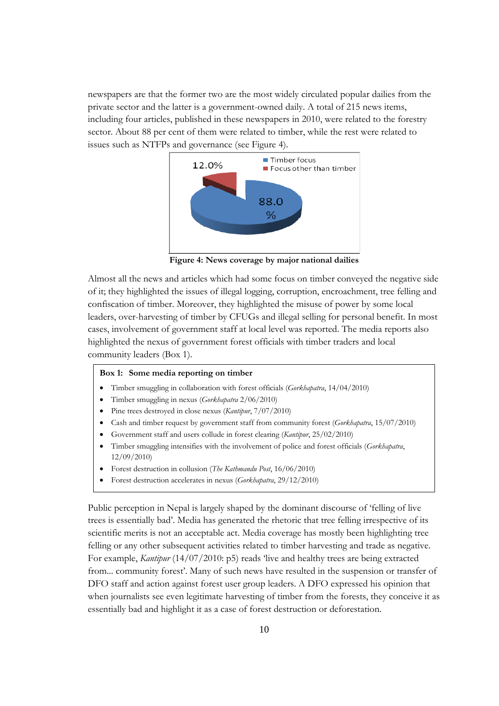newspapers are that the former two are the most widely circulated popular dailies from the private sector and the latter is a government-owned daily. A total of 215 news items, including four articles, published in these newspapers in 2010, were related to the forestry sector. About 88 per cent of them were related to timber, while the rest were related to issues such as NTFPs and governance (see Figure 4).



**Figure 4: News coverage by major national dailies** 

Almost all the news and articles which had some focus on timber conveyed the negative side of it; they highlighted the issues of illegal logging, corruption, encroachment, tree felling and confiscation of timber. Moreover, they highlighted the misuse of power by some local leaders, over-harvesting of timber by CFUGs and illegal selling for personal benefit. In most cases, involvement of government staff at local level was reported. The media reports also highlighted the nexus of government forest officials with timber traders and local community leaders (Box 1).

#### **Box 1: Some media reporting on timber**

- Timber smuggling in collaboration with forest officials (*Gorkhapatra*, 14/04/2010)
- Timber smuggling in nexus (*Gorkhapatra* 2/06/2010)
- Pine trees destroyed in close nexus (*Kantipur*, 7/07/2010)
- Cash and timber request by government staff from community forest (*Gorkhapatra*, 15/07/2010)
- Government staff and users collude in forest clearing (*Kantipur*, 25/02/2010)
- Timber smuggling intensifies with the involvement of police and forest officials (*Gorkhapatra*, 12/09/2010)
- Forest destruction in collusion (*The Kathmandu Post*, 16/06/2010)
- Forest destruction accelerates in nexus (*Gorkhapatra*, 29/12/2010)

Public perception in Nepal is largely shaped by the dominant discourse of 'felling of live trees is essentially bad'. Media has generated the rhetoric that tree felling irrespective of its scientific merits is not an acceptable act. Media coverage has mostly been highlighting tree felling or any other subsequent activities related to timber harvesting and trade as negative. For example, *Kantipur* (14/07/2010: p5) reads 'live and healthy trees are being extracted from... community forest'. Many of such news have resulted in the suspension or transfer of DFO staff and action against forest user group leaders. A DFO expressed his opinion that when journalists see even legitimate harvesting of timber from the forests, they conceive it as essentially bad and highlight it as a case of forest destruction or deforestation.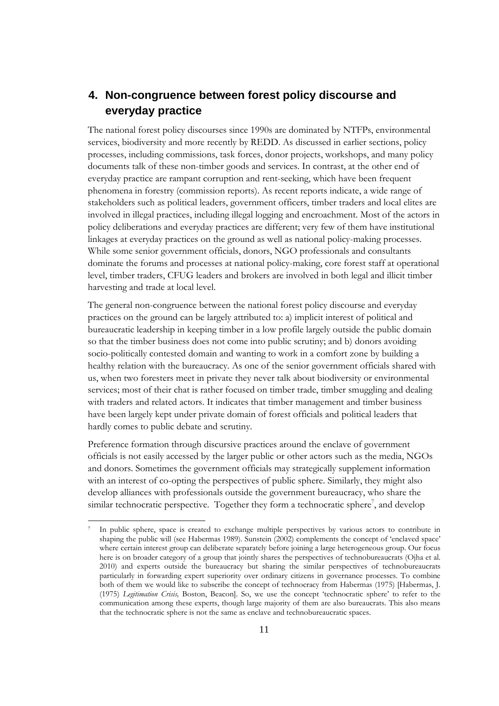### **4. Non-congruence between forest policy discourse and everyday practice**

The national forest policy discourses since 1990s are dominated by NTFPs, environmental services, biodiversity and more recently by REDD. As discussed in earlier sections, policy processes, including commissions, task forces, donor projects, workshops, and many policy documents talk of these non-timber goods and services. In contrast, at the other end of everyday practice are rampant corruption and rent-seeking, which have been frequent phenomena in forestry (commission reports). As recent reports indicate, a wide range of stakeholders such as political leaders, government officers, timber traders and local elites are involved in illegal practices, including illegal logging and encroachment. Most of the actors in policy deliberations and everyday practices are different; very few of them have institutional linkages at everyday practices on the ground as well as national policy-making processes. While some senior government officials, donors, NGO professionals and consultants dominate the forums and processes at national policy-making, core forest staff at operational level, timber traders, CFUG leaders and brokers are involved in both legal and illicit timber harvesting and trade at local level.

The general non-congruence between the national forest policy discourse and everyday practices on the ground can be largely attributed to: a) implicit interest of political and bureaucratic leadership in keeping timber in a low profile largely outside the public domain so that the timber business does not come into public scrutiny; and b) donors avoiding socio-politically contested domain and wanting to work in a comfort zone by building a healthy relation with the bureaucracy. As one of the senior government officials shared with us, when two foresters meet in private they never talk about biodiversity or environmental services; most of their chat is rather focused on timber trade, timber smuggling and dealing with traders and related actors. It indicates that timber management and timber business have been largely kept under private domain of forest officials and political leaders that hardly comes to public debate and scrutiny.

Preference formation through discursive practices around the enclave of government officials is not easily accessed by the larger public or other actors such as the media, NGOs and donors. Sometimes the government officials may strategically supplement information with an interest of co-opting the perspectives of public sphere. Similarly, they might also develop alliances with professionals outside the government bureaucracy, who share the similar technocratic perspective. Together they form a technocratic sphere<sup>7</sup>, and develop

 $\overline{a}$ 

In public sphere, space is created to exchange multiple perspectives by various actors to contribute in shaping the public will (see Habermas 1989). Sunstein (2002) complements the concept of 'enclaved space' where certain interest group can deliberate separately before joining a large heterogeneous group. Our focus here is on broader category of a group that jointly shares the perspectives of technobureaucrats (Ojha et al. 2010) and experts outside the bureaucracy but sharing the similar perspectives of technobureaucrats particularly in forwarding expert superiority over ordinary citizens in governance processes. To combine both of them we would like to subscribe the concept of technocracy from Habermas (1975) [Habermas, J. (1975) *Legitimation Crisis,* Boston, Beacon]. So, we use the concept 'technocratic sphere' to refer to the communication among these experts, though large majority of them are also bureaucrats. This also means that the technocratic sphere is not the same as enclave and technobureaucratic spaces.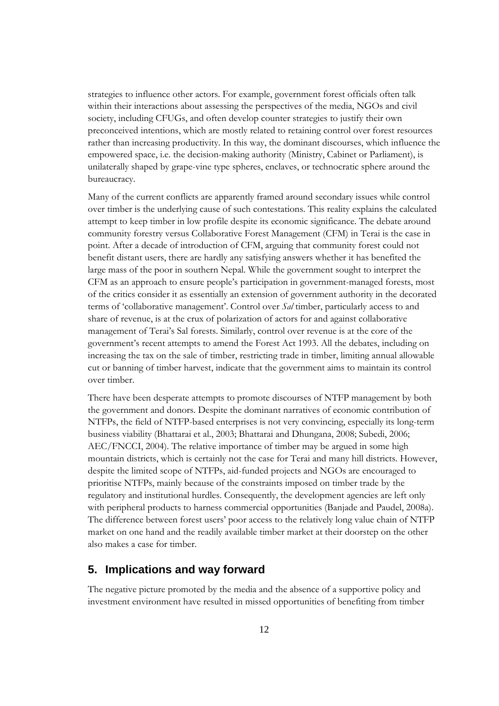strategies to influence other actors. For example, government forest officials often talk within their interactions about assessing the perspectives of the media, NGOs and civil society, including CFUGs, and often develop counter strategies to justify their own preconceived intentions, which are mostly related to retaining control over forest resources rather than increasing productivity. In this way, the dominant discourses, which influence the empowered space, i.e. the decision-making authority (Ministry, Cabinet or Parliament), is unilaterally shaped by grape-vine type spheres, enclaves, or technocratic sphere around the bureaucracy.

Many of the current conflicts are apparently framed around secondary issues while control over timber is the underlying cause of such contestations. This reality explains the calculated attempt to keep timber in low profile despite its economic significance. The debate around community forestry versus Collaborative Forest Management (CFM) in Terai is the case in point. After a decade of introduction of CFM, arguing that community forest could not benefit distant users, there are hardly any satisfying answers whether it has benefited the large mass of the poor in southern Nepal. While the government sought to interpret the CFM as an approach to ensure people's participation in government-managed forests, most of the critics consider it as essentially an extension of government authority in the decorated terms of 'collaborative management'. Control over *Sal* timber, particularly access to and share of revenue, is at the crux of polarization of actors for and against collaborative management of Terai's Sal forests. Similarly, control over revenue is at the core of the government's recent attempts to amend the Forest Act 1993. All the debates, including on increasing the tax on the sale of timber, restricting trade in timber, limiting annual allowable cut or banning of timber harvest, indicate that the government aims to maintain its control over timber.

There have been desperate attempts to promote discourses of NTFP management by both the government and donors. Despite the dominant narratives of economic contribution of NTFPs, the field of NTFP-based enterprises is not very convincing, especially its long-term business viability (Bhattarai et al., 2003; Bhattarai and Dhungana, 2008; Subedi, 2006; AEC/FNCCI, 2004). The relative importance of timber may be argued in some high mountain districts, which is certainly not the case for Terai and many hill districts. However, despite the limited scope of NTFPs, aid-funded projects and NGOs are encouraged to prioritise NTFPs, mainly because of the constraints imposed on timber trade by the regulatory and institutional hurdles. Consequently, the development agencies are left only with peripheral products to harness commercial opportunities (Banjade and Paudel, 2008a). The difference between forest users' poor access to the relatively long value chain of NTFP market on one hand and the readily available timber market at their doorstep on the other also makes a case for timber.

### **5. Implications and way forward**

The negative picture promoted by the media and the absence of a supportive policy and investment environment have resulted in missed opportunities of benefiting from timber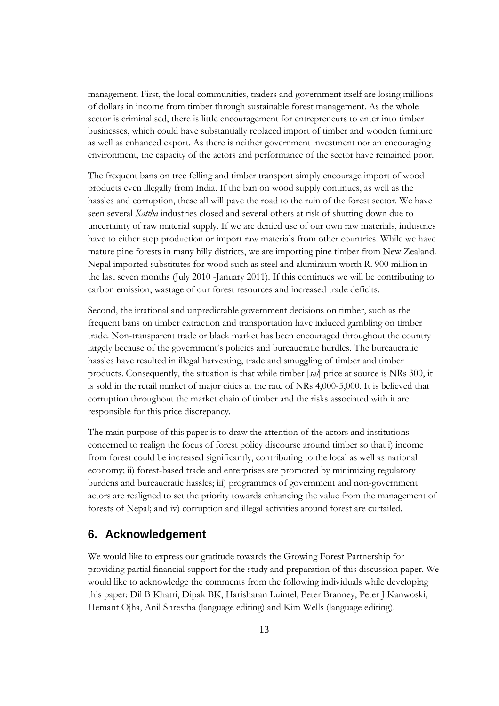management. First, the local communities, traders and government itself are losing millions of dollars in income from timber through sustainable forest management. As the whole sector is criminalised, there is little encouragement for entrepreneurs to enter into timber businesses, which could have substantially replaced import of timber and wooden furniture as well as enhanced export. As there is neither government investment nor an encouraging environment, the capacity of the actors and performance of the sector have remained poor.

The frequent bans on tree felling and timber transport simply encourage import of wood products even illegally from India. If the ban on wood supply continues, as well as the hassles and corruption, these all will pave the road to the ruin of the forest sector. We have seen several *Kattha* industries closed and several others at risk of shutting down due to uncertainty of raw material supply. If we are denied use of our own raw materials, industries have to either stop production or import raw materials from other countries. While we have mature pine forests in many hilly districts, we are importing pine timber from New Zealand. Nepal imported substitutes for wood such as steel and aluminium worth R. 900 million in the last seven months (July 2010 -January 2011). If this continues we will be contributing to carbon emission, wastage of our forest resources and increased trade deficits.

Second, the irrational and unpredictable government decisions on timber, such as the frequent bans on timber extraction and transportation have induced gambling on timber trade. Non-transparent trade or black market has been encouraged throughout the country largely because of the government's policies and bureaucratic hurdles. The bureaucratic hassles have resulted in illegal harvesting, trade and smuggling of timber and timber products. Consequently, the situation is that while timber [*sal*] price at source is NRs 300, it is sold in the retail market of major cities at the rate of NRs 4,000-5,000. It is believed that corruption throughout the market chain of timber and the risks associated with it are responsible for this price discrepancy.

The main purpose of this paper is to draw the attention of the actors and institutions concerned to realign the focus of forest policy discourse around timber so that i) income from forest could be increased significantly, contributing to the local as well as national economy; ii) forest-based trade and enterprises are promoted by minimizing regulatory burdens and bureaucratic hassles; iii) programmes of government and non-government actors are realigned to set the priority towards enhancing the value from the management of forests of Nepal; and iv) corruption and illegal activities around forest are curtailed.

### **6. Acknowledgement**

We would like to express our gratitude towards the Growing Forest Partnership for providing partial financial support for the study and preparation of this discussion paper. We would like to acknowledge the comments from the following individuals while developing this paper: Dil B Khatri, Dipak BK, Harisharan Luintel, Peter Branney, Peter J Kanwoski, Hemant Ojha, Anil Shrestha (language editing) and Kim Wells (language editing).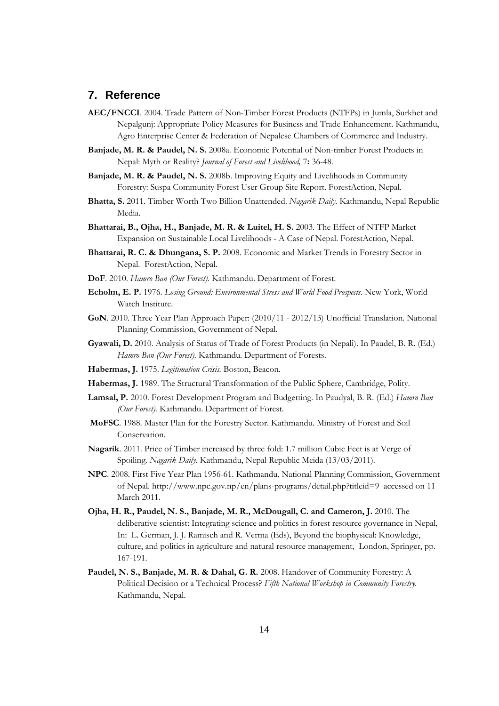### **7. Reference**

- **AEC/FNCCI**. 2004. Trade Pattern of Non-Timber Forest Products (NTFPs) in Jumla, Surkhet and Nepalgunj: Appropriate Policy Measures for Business and Trade Enhancement. Kathmandu, Agro Enterprise Center & Federation of Nepalese Chambers of Commerce and Industry.
- **Banjade, M. R. & Paudel, N. S.** 2008a. Economic Potential of Non-timber Forest Products in Nepal: Myth or Reality? *Journal of Forest and Livelihood,* 7**:** 36-48.
- **Banjade, M. R. & Paudel, N. S.** 2008b. Improving Equity and Livelihoods in Community Forestry: Suspa Community Forest User Group Site Report. ForestAction, Nepal.
- **Bhatta, S.** 2011. Timber Worth Two Billion Unattended. *Nagarik Daily.* Kathmandu, Nepal Republic Media.
- **Bhattarai, B., Ojha, H., Banjade, M. R. & Luitel, H. S.** 2003. The Effect of NTFP Market Expansion on Sustainable Local Livelihoods - A Case of Nepal. ForestAction, Nepal.
- **Bhattarai, R. C. & Dhungana, S. P.** 2008. Economic and Market Trends in Forestry Sector in Nepal. ForestAction, Nepal.
- **DoF**. 2010. *Hamro Ban (Our Forest).* Kathmandu. Department of Forest.
- **Echolm, E. P.** 1976. *Losing Ground: Environmental Stress and World Food Prospects.* New York, World Watch Institute.
- **GoN**. 2010. Three Year Plan Approach Paper: (2010/11 2012/13) Unofficial Translation. National Planning Commission, Government of Nepal.
- **Gyawali, D.** 2010. Analysis of Status of Trade of Forest Products (in Nepali). In Paudel, B. R. (Ed.) *Hamro Ban (Our Forest).* Kathmandu. Department of Forests.
- **Habermas, J.** 1975. *Legitimation Crisis.* Boston, Beacon.
- **Habermas, J.** 1989. The Structural Transformation of the Public Sphere, Cambridge, Polity.
- **Lamsal, P.** 2010. Forest Development Program and Budgetting. In Paudyal, B. R. (Ed.) *Hamro Ban (Our Forest).* Kathmandu. Department of Forest.
- **MoFSC**. 1988. Master Plan for the Forestry Sector. Kathmandu. Ministry of Forest and Soil Conservation.
- **Nagarik**. 2011. Price of Timber increased by three fold: 1.7 million Cubic Feet is at Verge of Spoiling. *Nagarik Daily.* Kathmandu, Nepal Republic Meida (13/03/2011).
- **NPC**. 2008. First Five Year Plan 1956-61. Kathmandu, National Planning Commission, Government of Nepal. http://www.npc.gov.np/en/plans-programs/detail.php?titleid=9 accessed on 11 March 2011.
- **Ojha, H. R., Paudel, N. S., Banjade, M. R., McDougall, C. and Cameron, J.** 2010. The deliberative scientist: Integrating science and politics in forest resource governance in Nepal, In: L. German, J. J. Ramisch and R. Verma (Eds), Beyond the biophysical: Knowledge, culture, and politics in agriculture and natural resource management, London, Springer, pp. 167-191.
- **Paudel, N. S., Banjade, M. R. & Dahal, G. R.** 2008. Handover of Community Forestry: A Political Decision or a Technical Process? *Fifth National Workshop in Community Forestry.* Kathmandu, Nepal.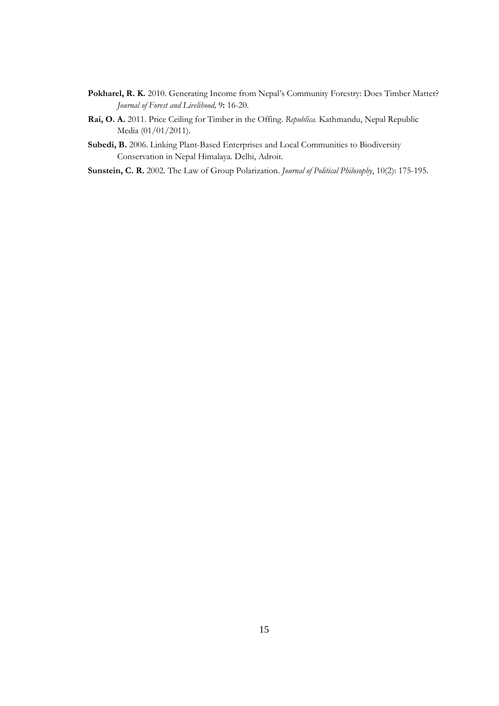- Pokharel, R. K. 2010. Generating Income from Nepal's Community Forestry: Does Timber Matter? *Journal of Forest and Livelihood,* 9**:** 16-20.
- **Rai, O. A.** 2011. Price Ceiling for Timber in the Offing. *Republica.* Kathmandu, Nepal Republic Media (01/01/2011).
- **Subedi, B.** 2006. Linking Plant-Based Enterprises and Local Communities to Biodiversity Conservation in Nepal Himalaya. Delhi, Adroit.
- **Sunstein, C. R.** 2002. The Law of Group Polarization. *Journal of Political Philosophy*, 10(2): 175-195.